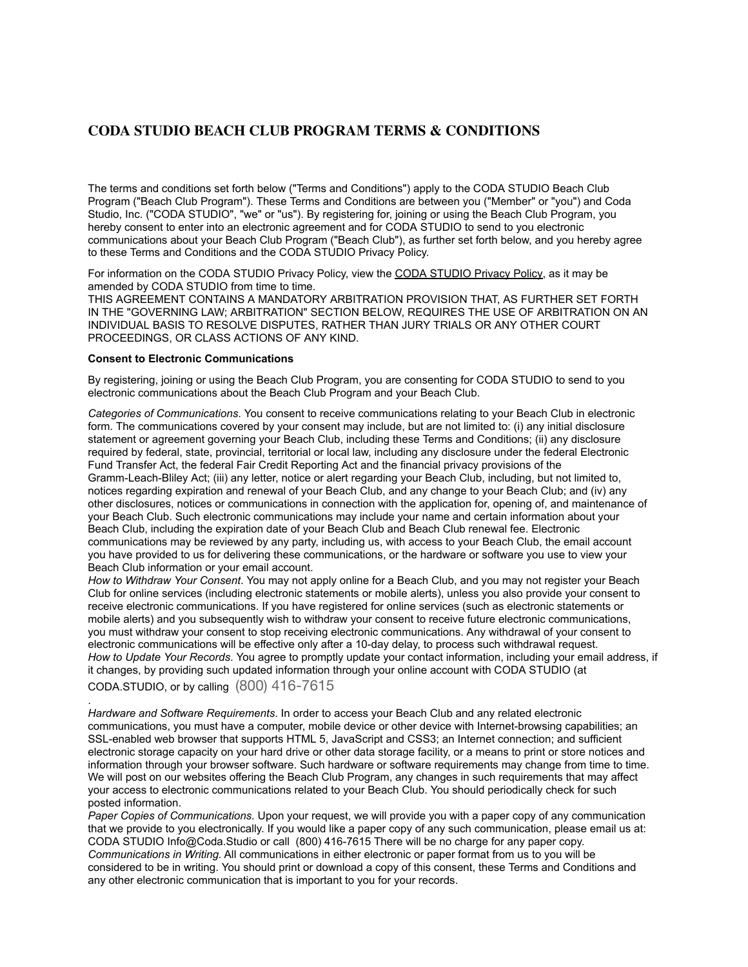# **CODA STUDIO BEACH CLUB PROGRAM TERMS & CONDITIONS**

The terms and conditions set forth below ("Terms and Conditions") apply to the CODA STUDIO Beach Club Program ("Beach Club Program"). These Terms and Conditions are between you ("Member" or "you") and Coda Studio, Inc. ("CODA STUDIO", "we" or "us"). By registering for, joining or using the Beach Club Program, you hereby consent to enter into an electronic agreement and for CODA STUDIO to send to you electronic communications about your Beach Club Program ("Beach Club"), as further set forth below, and you hereby agree to these Terms and Conditions and the CODA STUDIO Privacy Policy.

For information on the CODA STUDIO Privacy Policy, view the [CODA STUDIO Privacy Policy,](https://rh.com/customer-service/privacy-policy.jsp) as it may be amended by CODA STUDIO from time to time.

THIS AGREEMENT CONTAINS A MANDATORY ARBITRATION PROVISION THAT, AS FURTHER SET FORTH IN THE "GOVERNING LAW; ARBITRATION" SECTION BELOW, REQUIRES THE USE OF ARBITRATION ON AN INDIVIDUAL BASIS TO RESOLVE DISPUTES, RATHER THAN JURY TRIALS OR ANY OTHER COURT PROCEEDINGS, OR CLASS ACTIONS OF ANY KIND.

#### **Consent to Electronic Communications**

By registering, joining or using the Beach Club Program, you are consenting for CODA STUDIO to send to you electronic communications about the Beach Club Program and your Beach Club.

*Categories of Communications*. You consent to receive communications relating to your Beach Club in electronic form. The communications covered by your consent may include, but are not limited to: (i) any initial disclosure statement or agreement governing your Beach Club, including these Terms and Conditions; (ii) any disclosure required by federal, state, provincial, territorial or local law, including any disclosure under the federal Electronic Fund Transfer Act, the federal Fair Credit Reporting Act and the financial privacy provisions of the Gramm-Leach-Bliley Act; (iii) any letter, notice or alert regarding your Beach Club, including, but not limited to, notices regarding expiration and renewal of your Beach Club, and any change to your Beach Club; and (iv) any other disclosures, notices or communications in connection with the application for, opening of, and maintenance of your Beach Club. Such electronic communications may include your name and certain information about your Beach Club, including the expiration date of your Beach Club and Beach Club renewal fee. Electronic communications may be reviewed by any party, including us, with access to your Beach Club, the email account you have provided to us for delivering these communications, or the hardware or software you use to view your Beach Club information or your email account.

*How to Withdraw Your Consent*. You may not apply online for a Beach Club, and you may not register your Beach Club for online services (including electronic statements or mobile alerts), unless you also provide your consent to receive electronic communications. If you have registered for online services (such as electronic statements or mobile alerts) and you subsequently wish to withdraw your consent to receive future electronic communications, you must withdraw your consent to stop receiving electronic communications. Any withdrawal of your consent to electronic communications will be effective only after a 10-day delay, to process such withdrawal request. *How to Update Your Records*. You agree to promptly update your contact information, including your email address, if it changes, by providing such updated information through your online account with CODA STUDIO (at CODA.STUDIO, or by calling (800) 416-7615

. *Hardware and Software Requirements*. In order to access your Beach Club and any related electronic communications, you must have a computer, mobile device or other device with Internet-browsing capabilities; an SSL-enabled web browser that supports HTML 5, JavaScript and CSS3; an Internet connection; and sufficient electronic storage capacity on your hard drive or other data storage facility, or a means to print or store notices and information through your browser software. Such hardware or software requirements may change from time to time. We will post on our websites offering the Beach Club Program, any changes in such requirements that may affect your access to electronic communications related to your Beach Club. You should periodically check for such posted information.

*Paper Copies of Communications.* Upon your request, we will provide you with a paper copy of any communication that we provide to you electronically. If you would like a paper copy of any such communication, please email us at: CODA STUDIO Info@Coda.Studio or call (800) 416-7615 There will be no charge for any paper copy. *Communications in Writing.* All communications in either electronic or paper format from us to you will be considered to be in writing. You should print or download a copy of this consent, these Terms and Conditions and any other electronic communication that is important to you for your records.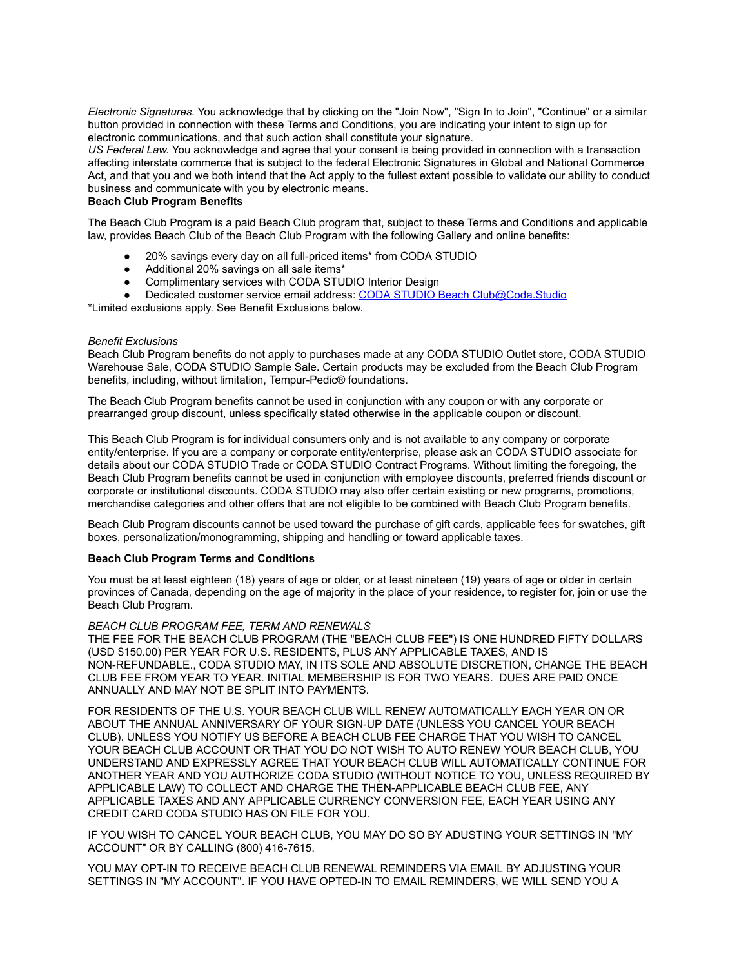*Electronic Signatures.* You acknowledge that by clicking on the "Join Now", "Sign In to Join", "Continue" or a similar button provided in connection with these Terms and Conditions, you are indicating your intent to sign up for electronic communications, and that such action shall constitute your signature.

*US Federal Law.* You acknowledge and agree that your consent is being provided in connection with a transaction affecting interstate commerce that is subject to the federal Electronic Signatures in Global and National Commerce Act, and that you and we both intend that the Act apply to the fullest extent possible to validate our ability to conduct business and communicate with you by electronic means.

## **Beach Club Program Benefits**

The Beach Club Program is a paid Beach Club program that, subject to these Terms and Conditions and applicable law, provides Beach Club of the Beach Club Program with the following Gallery and online benefits:

- 20% savings every day on all full-priced items\* from CODA STUDIO
- Additional 20% savings on all sale items\*
- Complimentary services with CODA STUDIO Interior Design
- Dedicated customer service email address: CODA STUDIO Beach Club@Coda.Studio

\*Limited exclusions apply. See Benefit Exclusions below.

#### *Benefit Exclusions*

Beach Club Program benefits do not apply to purchases made at any CODA STUDIO Outlet store, CODA STUDIO Warehouse Sale, CODA STUDIO Sample Sale. Certain products may be excluded from the Beach Club Program benefits, including, without limitation, Tempur-Pedic® foundations.

The Beach Club Program benefits cannot be used in conjunction with any coupon or with any corporate or prearranged group discount, unless specifically stated otherwise in the applicable coupon or discount.

This Beach Club Program is for individual consumers only and is not available to any company or corporate entity/enterprise. If you are a company or corporate entity/enterprise, please ask an CODA STUDIO associate for details about our CODA STUDIO Trade or CODA STUDIO Contract Programs. Without limiting the foregoing, the Beach Club Program benefits cannot be used in conjunction with employee discounts, preferred friends discount or corporate or institutional discounts. CODA STUDIO may also offer certain existing or new programs, promotions, merchandise categories and other offers that are not eligible to be combined with Beach Club Program benefits.

Beach Club Program discounts cannot be used toward the purchase of gift cards, applicable fees for swatches, gift boxes, personalization/monogramming, shipping and handling or toward applicable taxes.

#### **Beach Club Program Terms and Conditions**

You must be at least eighteen (18) years of age or older, or at least nineteen (19) years of age or older in certain provinces of Canada, depending on the age of majority in the place of your residence, to register for, join or use the Beach Club Program.

## *BEACH CLUB PROGRAM FEE, TERM AND RENEWALS*

THE FEE FOR THE BEACH CLUB PROGRAM (THE "BEACH CLUB FEE") IS ONE HUNDRED FIFTY DOLLARS (USD \$150.00) PER YEAR FOR U.S. RESIDENTS, PLUS ANY APPLICABLE TAXES, AND IS NON-REFUNDABLE., CODA STUDIO MAY, IN ITS SOLE AND ABSOLUTE DISCRETION, CHANGE THE BEACH CLUB FEE FROM YEAR TO YEAR. INITIAL MEMBERSHIP IS FOR TWO YEARS. DUES ARE PAID ONCE ANNUALLY AND MAY NOT BE SPLIT INTO PAYMENTS.

FOR RESIDENTS OF THE U.S. YOUR BEACH CLUB WILL RENEW AUTOMATICALLY EACH YEAR ON OR ABOUT THE ANNUAL ANNIVERSARY OF YOUR SIGN-UP DATE (UNLESS YOU CANCEL YOUR BEACH CLUB). UNLESS YOU NOTIFY US BEFORE A BEACH CLUB FEE CHARGE THAT YOU WISH TO CANCEL YOUR BEACH CLUB ACCOUNT OR THAT YOU DO NOT WISH TO AUTO RENEW YOUR BEACH CLUB, YOU UNDERSTAND AND EXPRESSLY AGREE THAT YOUR BEACH CLUB WILL AUTOMATICALLY CONTINUE FOR ANOTHER YEAR AND YOU AUTHORIZE CODA STUDIO (WITHOUT NOTICE TO YOU, UNLESS REQUIRED BY APPLICABLE LAW) TO COLLECT AND CHARGE THE THEN-APPLICABLE BEACH CLUB FEE, ANY APPLICABLE TAXES AND ANY APPLICABLE CURRENCY CONVERSION FEE, EACH YEAR USING ANY CREDIT CARD CODA STUDIO HAS ON FILE FOR YOU.

IF YOU WISH TO CANCEL YOUR BEACH CLUB, YOU MAY DO SO BY ADUSTING YOUR SETTINGS IN "MY ACCOUNT" OR BY CALLING (800) 416-7615.

YOU MAY OPT-IN TO RECEIVE BEACH CLUB RENEWAL REMINDERS VIA EMAIL BY ADJUSTING YOUR SETTINGS IN "MY ACCOUNT". IF YOU HAVE OPTED-IN TO EMAIL REMINDERS, WE WILL SEND YOU A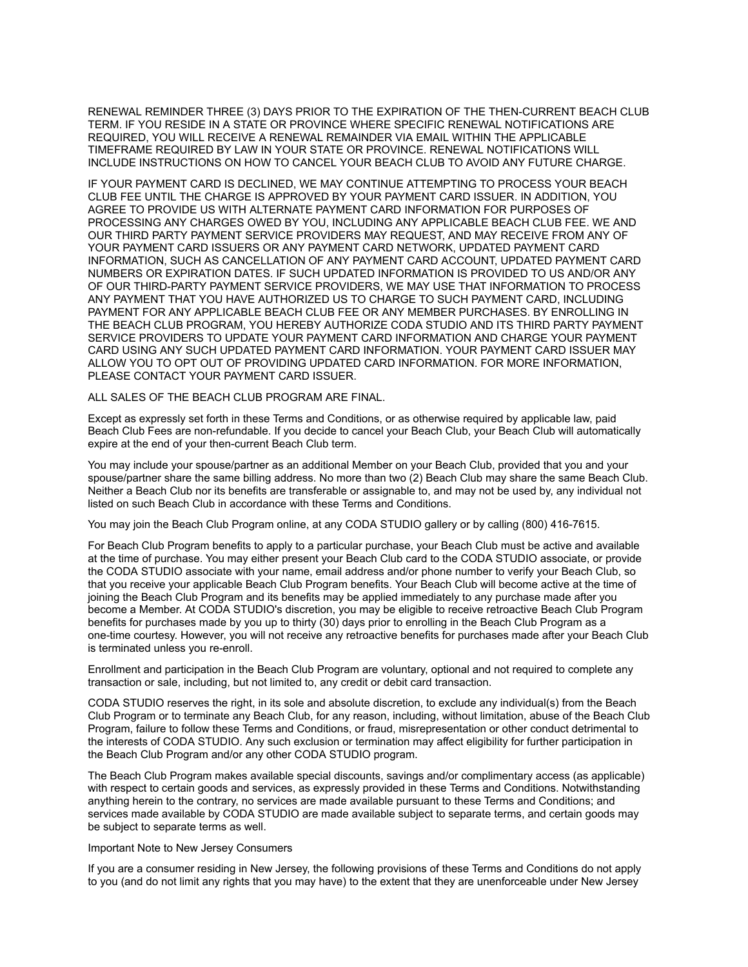RENEWAL REMINDER THREE (3) DAYS PRIOR TO THE EXPIRATION OF THE THEN-CURRENT BEACH CLUB TERM. IF YOU RESIDE IN A STATE OR PROVINCE WHERE SPECIFIC RENEWAL NOTIFICATIONS ARE REQUIRED, YOU WILL RECEIVE A RENEWAL REMAINDER VIA EMAIL WITHIN THE APPLICABLE TIMEFRAME REQUIRED BY LAW IN YOUR STATE OR PROVINCE. RENEWAL NOTIFICATIONS WILL INCLUDE INSTRUCTIONS ON HOW TO CANCEL YOUR BEACH CLUB TO AVOID ANY FUTURE CHARGE.

IF YOUR PAYMENT CARD IS DECLINED, WE MAY CONTINUE ATTEMPTING TO PROCESS YOUR BEACH CLUB FEE UNTIL THE CHARGE IS APPROVED BY YOUR PAYMENT CARD ISSUER. IN ADDITION, YOU AGREE TO PROVIDE US WITH ALTERNATE PAYMENT CARD INFORMATION FOR PURPOSES OF PROCESSING ANY CHARGES OWED BY YOU, INCLUDING ANY APPLICABLE BEACH CLUB FEE. WE AND OUR THIRD PARTY PAYMENT SERVICE PROVIDERS MAY REQUEST, AND MAY RECEIVE FROM ANY OF YOUR PAYMENT CARD ISSUERS OR ANY PAYMENT CARD NETWORK, UPDATED PAYMENT CARD INFORMATION, SUCH AS CANCELLATION OF ANY PAYMENT CARD ACCOUNT, UPDATED PAYMENT CARD NUMBERS OR EXPIRATION DATES. IF SUCH UPDATED INFORMATION IS PROVIDED TO US AND/OR ANY OF OUR THIRD-PARTY PAYMENT SERVICE PROVIDERS, WE MAY USE THAT INFORMATION TO PROCESS ANY PAYMENT THAT YOU HAVE AUTHORIZED US TO CHARGE TO SUCH PAYMENT CARD, INCLUDING PAYMENT FOR ANY APPLICABLE BEACH CLUB FEE OR ANY MEMBER PURCHASES. BY ENROLLING IN THE BEACH CLUB PROGRAM, YOU HEREBY AUTHORIZE CODA STUDIO AND ITS THIRD PARTY PAYMENT SERVICE PROVIDERS TO UPDATE YOUR PAYMENT CARD INFORMATION AND CHARGE YOUR PAYMENT CARD USING ANY SUCH UPDATED PAYMENT CARD INFORMATION. YOUR PAYMENT CARD ISSUER MAY ALLOW YOU TO OPT OUT OF PROVIDING UPDATED CARD INFORMATION. FOR MORE INFORMATION, PLEASE CONTACT YOUR PAYMENT CARD ISSUER.

#### ALL SALES OF THE BEACH CLUB PROGRAM ARE FINAL.

Except as expressly set forth in these Terms and Conditions, or as otherwise required by applicable law, paid Beach Club Fees are non-refundable. If you decide to cancel your Beach Club, your Beach Club will automatically expire at the end of your then-current Beach Club term.

You may include your spouse/partner as an additional Member on your Beach Club, provided that you and your spouse/partner share the same billing address. No more than two (2) Beach Club may share the same Beach Club. Neither a Beach Club nor its benefits are transferable or assignable to, and may not be used by, any individual not listed on such Beach Club in accordance with these Terms and Conditions.

You may join the Beach Club Program online, at any CODA STUDIO gallery or by calling (800) 416-7615.

For Beach Club Program benefits to apply to a particular purchase, your Beach Club must be active and available at the time of purchase. You may either present your Beach Club card to the CODA STUDIO associate, or provide the CODA STUDIO associate with your name, email address and/or phone number to verify your Beach Club, so that you receive your applicable Beach Club Program benefits. Your Beach Club will become active at the time of joining the Beach Club Program and its benefits may be applied immediately to any purchase made after you become a Member. At CODA STUDIO's discretion, you may be eligible to receive retroactive Beach Club Program benefits for purchases made by you up to thirty (30) days prior to enrolling in the Beach Club Program as a one-time courtesy. However, you will not receive any retroactive benefits for purchases made after your Beach Club is terminated unless you re-enroll.

Enrollment and participation in the Beach Club Program are voluntary, optional and not required to complete any transaction or sale, including, but not limited to, any credit or debit card transaction.

CODA STUDIO reserves the right, in its sole and absolute discretion, to exclude any individual(s) from the Beach Club Program or to terminate any Beach Club, for any reason, including, without limitation, abuse of the Beach Club Program, failure to follow these Terms and Conditions, or fraud, misrepresentation or other conduct detrimental to the interests of CODA STUDIO. Any such exclusion or termination may affect eligibility for further participation in the Beach Club Program and/or any other CODA STUDIO program.

The Beach Club Program makes available special discounts, savings and/or complimentary access (as applicable) with respect to certain goods and services, as expressly provided in these Terms and Conditions. Notwithstanding anything herein to the contrary, no services are made available pursuant to these Terms and Conditions; and services made available by CODA STUDIO are made available subject to separate terms, and certain goods may be subject to separate terms as well.

#### Important Note to New Jersey Consumers

If you are a consumer residing in New Jersey, the following provisions of these Terms and Conditions do not apply to you (and do not limit any rights that you may have) to the extent that they are unenforceable under New Jersey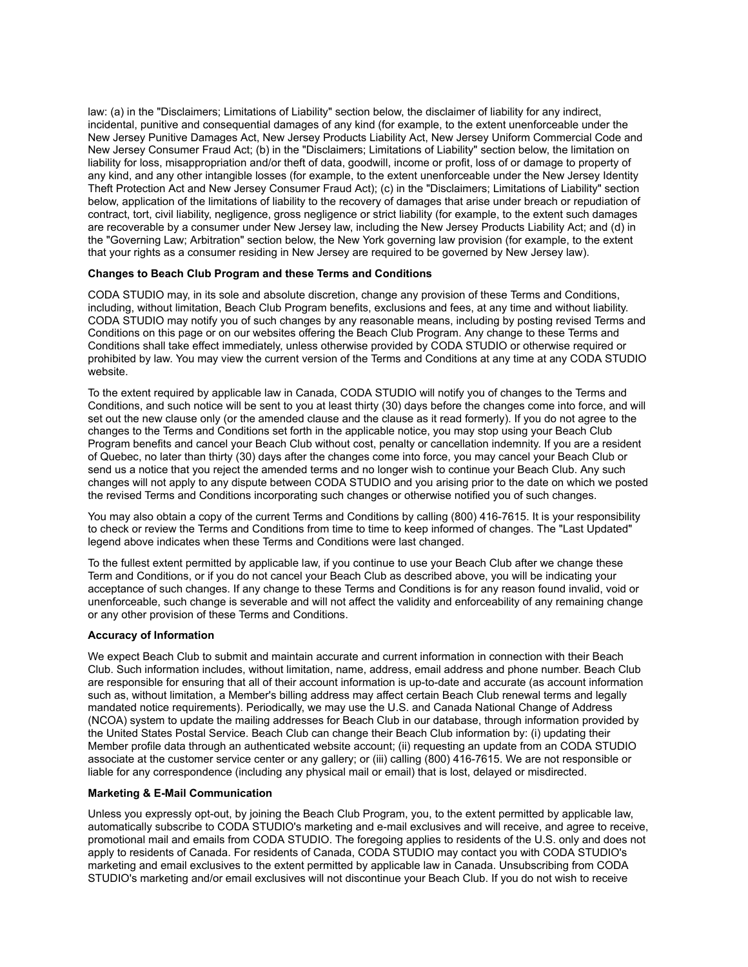law: (a) in the "Disclaimers; Limitations of Liability" section below, the disclaimer of liability for any indirect, incidental, punitive and consequential damages of any kind (for example, to the extent unenforceable under the New Jersey Punitive Damages Act, New Jersey Products Liability Act, New Jersey Uniform Commercial Code and New Jersey Consumer Fraud Act; (b) in the "Disclaimers; Limitations of Liability" section below, the limitation on liability for loss, misappropriation and/or theft of data, goodwill, income or profit, loss of or damage to property of any kind, and any other intangible losses (for example, to the extent unenforceable under the New Jersey Identity Theft Protection Act and New Jersey Consumer Fraud Act); (c) in the "Disclaimers; Limitations of Liability" section below, application of the limitations of liability to the recovery of damages that arise under breach or repudiation of contract, tort, civil liability, negligence, gross negligence or strict liability (for example, to the extent such damages are recoverable by a consumer under New Jersey law, including the New Jersey Products Liability Act; and (d) in the "Governing Law; Arbitration" section below, the New York governing law provision (for example, to the extent that your rights as a consumer residing in New Jersey are required to be governed by New Jersey law).

## **Changes to Beach Club Program and these Terms and Conditions**

CODA STUDIO may, in its sole and absolute discretion, change any provision of these Terms and Conditions, including, without limitation, Beach Club Program benefits, exclusions and fees, at any time and without liability. CODA STUDIO may notify you of such changes by any reasonable means, including by posting revised Terms and Conditions on this page or on our websites offering the Beach Club Program. Any change to these Terms and Conditions shall take effect immediately, unless otherwise provided by CODA STUDIO or otherwise required or prohibited by law. You may view the current version of the Terms and Conditions at any time at any CODA STUDIO website.

To the extent required by applicable law in Canada, CODA STUDIO will notify you of changes to the Terms and Conditions, and such notice will be sent to you at least thirty (30) days before the changes come into force, and will set out the new clause only (or the amended clause and the clause as it read formerly). If you do not agree to the changes to the Terms and Conditions set forth in the applicable notice, you may stop using your Beach Club Program benefits and cancel your Beach Club without cost, penalty or cancellation indemnity. If you are a resident of Quebec, no later than thirty (30) days after the changes come into force, you may cancel your Beach Club or send us a notice that you reject the amended terms and no longer wish to continue your Beach Club. Any such changes will not apply to any dispute between CODA STUDIO and you arising prior to the date on which we posted the revised Terms and Conditions incorporating such changes or otherwise notified you of such changes.

You may also obtain a copy of the current Terms and Conditions by calling (800) 416-7615. It is your responsibility to check or review the Terms and Conditions from time to time to keep informed of changes. The "Last Updated" legend above indicates when these Terms and Conditions were last changed.

To the fullest extent permitted by applicable law, if you continue to use your Beach Club after we change these Term and Conditions, or if you do not cancel your Beach Club as described above, you will be indicating your acceptance of such changes. If any change to these Terms and Conditions is for any reason found invalid, void or unenforceable, such change is severable and will not affect the validity and enforceability of any remaining change or any other provision of these Terms and Conditions.

## **Accuracy of Information**

We expect Beach Club to submit and maintain accurate and current information in connection with their Beach Club. Such information includes, without limitation, name, address, email address and phone number. Beach Club are responsible for ensuring that all of their account information is up-to-date and accurate (as account information such as, without limitation, a Member's billing address may affect certain Beach Club renewal terms and legally mandated notice requirements). Periodically, we may use the U.S. and Canada National Change of Address (NCOA) system to update the mailing addresses for Beach Club in our database, through information provided by the United States Postal Service. Beach Club can change their Beach Club information by: (i) updating their Member profile data through an authenticated website account; (ii) requesting an update from an CODA STUDIO associate at the customer service center or any gallery; or (iii) calling (800) 416-7615. We are not responsible or liable for any correspondence (including any physical mail or email) that is lost, delayed or misdirected.

## **Marketing & E-Mail Communication**

Unless you expressly opt-out, by joining the Beach Club Program, you, to the extent permitted by applicable law, automatically subscribe to CODA STUDIO's marketing and e-mail exclusives and will receive, and agree to receive, promotional mail and emails from CODA STUDIO. The foregoing applies to residents of the U.S. only and does not apply to residents of Canada. For residents of Canada, CODA STUDIO may contact you with CODA STUDIO's marketing and email exclusives to the extent permitted by applicable law in Canada. Unsubscribing from CODA STUDIO's marketing and/or email exclusives will not discontinue your Beach Club. If you do not wish to receive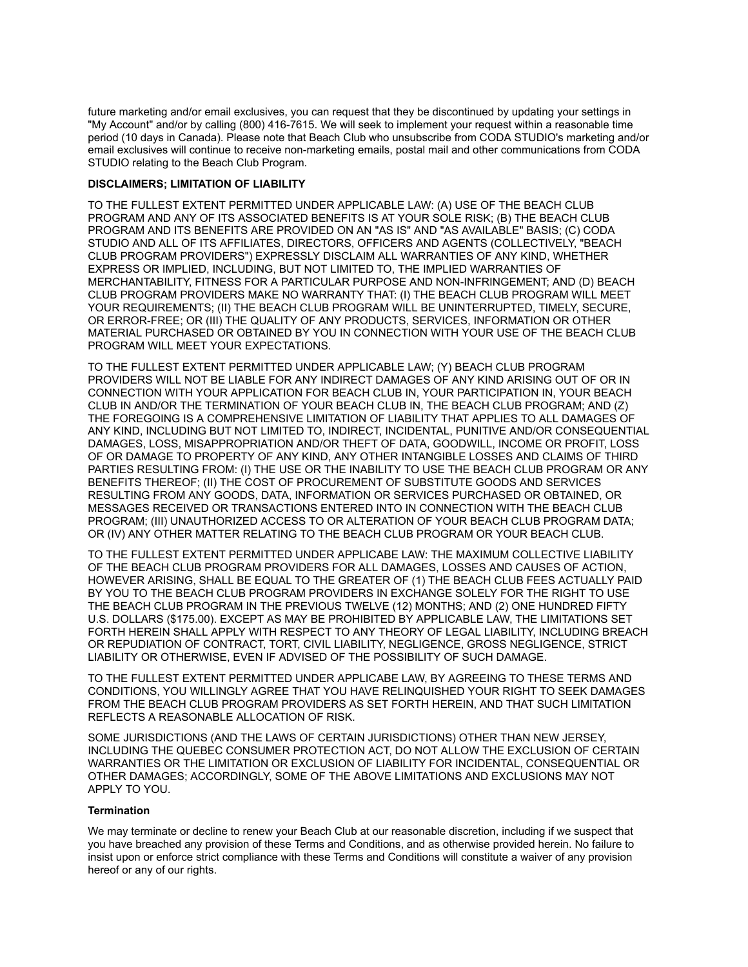future marketing and/or email exclusives, you can request that they be discontinued by updating your settings in "My Account" and/or by calling (800) 416-7615. We will seek to implement your request within a reasonable time period (10 days in Canada). Please note that Beach Club who unsubscribe from CODA STUDIO's marketing and/or email exclusives will continue to receive non-marketing emails, postal mail and other communications from CODA STUDIO relating to the Beach Club Program.

## **DISCLAIMERS; LIMITATION OF LIABILITY**

TO THE FULLEST EXTENT PERMITTED UNDER APPLICABLE LAW: (A) USE OF THE BEACH CLUB PROGRAM AND ANY OF ITS ASSOCIATED BENEFITS IS AT YOUR SOLE RISK; (B) THE BEACH CLUB PROGRAM AND ITS BENEFITS ARE PROVIDED ON AN "AS IS" AND "AS AVAILABLE" BASIS; (C) CODA STUDIO AND ALL OF ITS AFFILIATES, DIRECTORS, OFFICERS AND AGENTS (COLLECTIVELY, "BEACH CLUB PROGRAM PROVIDERS") EXPRESSLY DISCLAIM ALL WARRANTIES OF ANY KIND, WHETHER EXPRESS OR IMPLIED, INCLUDING, BUT NOT LIMITED TO, THE IMPLIED WARRANTIES OF MERCHANTABILITY, FITNESS FOR A PARTICULAR PURPOSE AND NON-INFRINGEMENT; AND (D) BEACH CLUB PROGRAM PROVIDERS MAKE NO WARRANTY THAT: (I) THE BEACH CLUB PROGRAM WILL MEET YOUR REQUIREMENTS; (II) THE BEACH CLUB PROGRAM WILL BE UNINTERRUPTED, TIMELY, SECURE, OR ERROR-FREE; OR (III) THE QUALITY OF ANY PRODUCTS, SERVICES, INFORMATION OR OTHER MATERIAL PURCHASED OR OBTAINED BY YOU IN CONNECTION WITH YOUR USE OF THE BEACH CLUB PROGRAM WILL MEET YOUR EXPECTATIONS.

TO THE FULLEST EXTENT PERMITTED UNDER APPLICABLE LAW; (Y) BEACH CLUB PROGRAM PROVIDERS WILL NOT BE LIABLE FOR ANY INDIRECT DAMAGES OF ANY KIND ARISING OUT OF OR IN CONNECTION WITH YOUR APPLICATION FOR BEACH CLUB IN, YOUR PARTICIPATION IN, YOUR BEACH CLUB IN AND/OR THE TERMINATION OF YOUR BEACH CLUB IN, THE BEACH CLUB PROGRAM; AND (Z) THE FOREGOING IS A COMPREHENSIVE LIMITATION OF LIABILITY THAT APPLIES TO ALL DAMAGES OF ANY KIND, INCLUDING BUT NOT LIMITED TO, INDIRECT, INCIDENTAL, PUNITIVE AND/OR CONSEQUENTIAL DAMAGES, LOSS, MISAPPROPRIATION AND/OR THEFT OF DATA, GOODWILL, INCOME OR PROFIT, LOSS OF OR DAMAGE TO PROPERTY OF ANY KIND, ANY OTHER INTANGIBLE LOSSES AND CLAIMS OF THIRD PARTIES RESULTING FROM: (I) THE USE OR THE INABILITY TO USE THE BEACH CLUB PROGRAM OR ANY BENEFITS THEREOF; (II) THE COST OF PROCUREMENT OF SUBSTITUTE GOODS AND SERVICES RESULTING FROM ANY GOODS, DATA, INFORMATION OR SERVICES PURCHASED OR OBTAINED, OR MESSAGES RECEIVED OR TRANSACTIONS ENTERED INTO IN CONNECTION WITH THE BEACH CLUB PROGRAM; (III) UNAUTHORIZED ACCESS TO OR ALTERATION OF YOUR BEACH CLUB PROGRAM DATA; OR (IV) ANY OTHER MATTER RELATING TO THE BEACH CLUB PROGRAM OR YOUR BEACH CLUB.

TO THE FULLEST EXTENT PERMITTED UNDER APPLICABE LAW: THE MAXIMUM COLLECTIVE LIABILITY OF THE BEACH CLUB PROGRAM PROVIDERS FOR ALL DAMAGES, LOSSES AND CAUSES OF ACTION, HOWEVER ARISING, SHALL BE EQUAL TO THE GREATER OF (1) THE BEACH CLUB FEES ACTUALLY PAID BY YOU TO THE BEACH CLUB PROGRAM PROVIDERS IN EXCHANGE SOLELY FOR THE RIGHT TO USE THE BEACH CLUB PROGRAM IN THE PREVIOUS TWELVE (12) MONTHS; AND (2) ONE HUNDRED FIFTY U.S. DOLLARS (\$175.00). EXCEPT AS MAY BE PROHIBITED BY APPLICABLE LAW, THE LIMITATIONS SET FORTH HEREIN SHALL APPLY WITH RESPECT TO ANY THEORY OF LEGAL LIABILITY, INCLUDING BREACH OR REPUDIATION OF CONTRACT, TORT, CIVIL LIABILITY, NEGLIGENCE, GROSS NEGLIGENCE, STRICT LIABILITY OR OTHERWISE, EVEN IF ADVISED OF THE POSSIBILITY OF SUCH DAMAGE.

TO THE FULLEST EXTENT PERMITTED UNDER APPLICABE LAW, BY AGREEING TO THESE TERMS AND CONDITIONS, YOU WILLINGLY AGREE THAT YOU HAVE RELINQUISHED YOUR RIGHT TO SEEK DAMAGES FROM THE BEACH CLUB PROGRAM PROVIDERS AS SET FORTH HEREIN, AND THAT SUCH LIMITATION REFLECTS A REASONABLE ALLOCATION OF RISK.

SOME JURISDICTIONS (AND THE LAWS OF CERTAIN JURISDICTIONS) OTHER THAN NEW JERSEY, INCLUDING THE QUEBEC CONSUMER PROTECTION ACT, DO NOT ALLOW THE EXCLUSION OF CERTAIN WARRANTIES OR THE LIMITATION OR EXCLUSION OF LIABILITY FOR INCIDENTAL, CONSEQUENTIAL OR OTHER DAMAGES; ACCORDINGLY, SOME OF THE ABOVE LIMITATIONS AND EXCLUSIONS MAY NOT APPLY TO YOU.

## **Termination**

We may terminate or decline to renew your Beach Club at our reasonable discretion, including if we suspect that you have breached any provision of these Terms and Conditions, and as otherwise provided herein. No failure to insist upon or enforce strict compliance with these Terms and Conditions will constitute a waiver of any provision hereof or any of our rights.